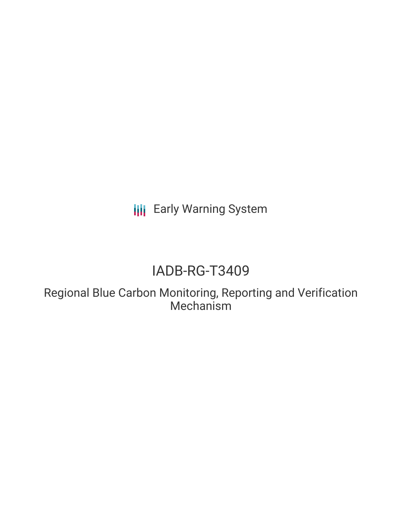**III** Early Warning System

# IADB-RG-T3409

Regional Blue Carbon Monitoring, Reporting and Verification Mechanism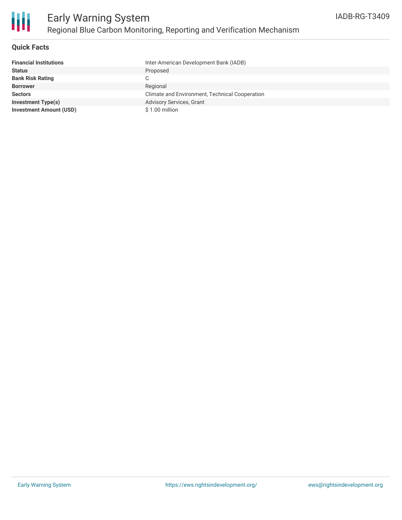

# **Quick Facts**

| <b>Financial Institutions</b>  | Inter-American Development Bank (IADB)         |
|--------------------------------|------------------------------------------------|
| <b>Status</b>                  | Proposed                                       |
| <b>Bank Risk Rating</b>        |                                                |
| <b>Borrower</b>                | Regional                                       |
| <b>Sectors</b>                 | Climate and Environment, Technical Cooperation |
| <b>Investment Type(s)</b>      | Advisory Services, Grant                       |
| <b>Investment Amount (USD)</b> | $$1.00$ million                                |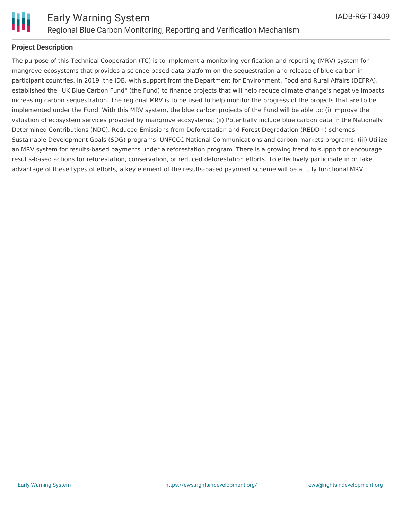

# **Project Description**

The purpose of this Technical Cooperation (TC) is to implement a monitoring verification and reporting (MRV) system for mangrove ecosystems that provides a science-based data platform on the sequestration and release of blue carbon in participant countries. In 2019, the IDB, with support from the Department for Environment, Food and Rural Affairs (DEFRA), established the "UK Blue Carbon Fund" (the Fund) to finance projects that will help reduce climate change's negative impacts increasing carbon sequestration. The regional MRV is to be used to help monitor the progress of the projects that are to be implemented under the Fund. With this MRV system, the blue carbon projects of the Fund will be able to: (i) Improve the valuation of ecosystem services provided by mangrove ecosystems; (ii) Potentially include blue carbon data in the Nationally Determined Contributions (NDC), Reduced Emissions from Deforestation and Forest Degradation (REDD+) schemes, Sustainable Development Goals (SDG) programs, UNFCCC National Communications and carbon markets programs; (iii) Utilize an MRV system for results-based payments under a reforestation program. There is a growing trend to support or encourage results-based actions for reforestation, conservation, or reduced deforestation efforts. To effectively participate in or take advantage of these types of efforts, a key element of the results-based payment scheme will be a fully functional MRV.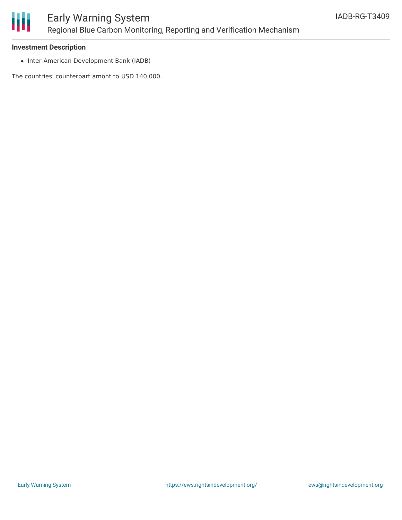

#### **Investment Description**

• Inter-American Development Bank (IADB)

The countries' counterpart amont to USD 140,000.